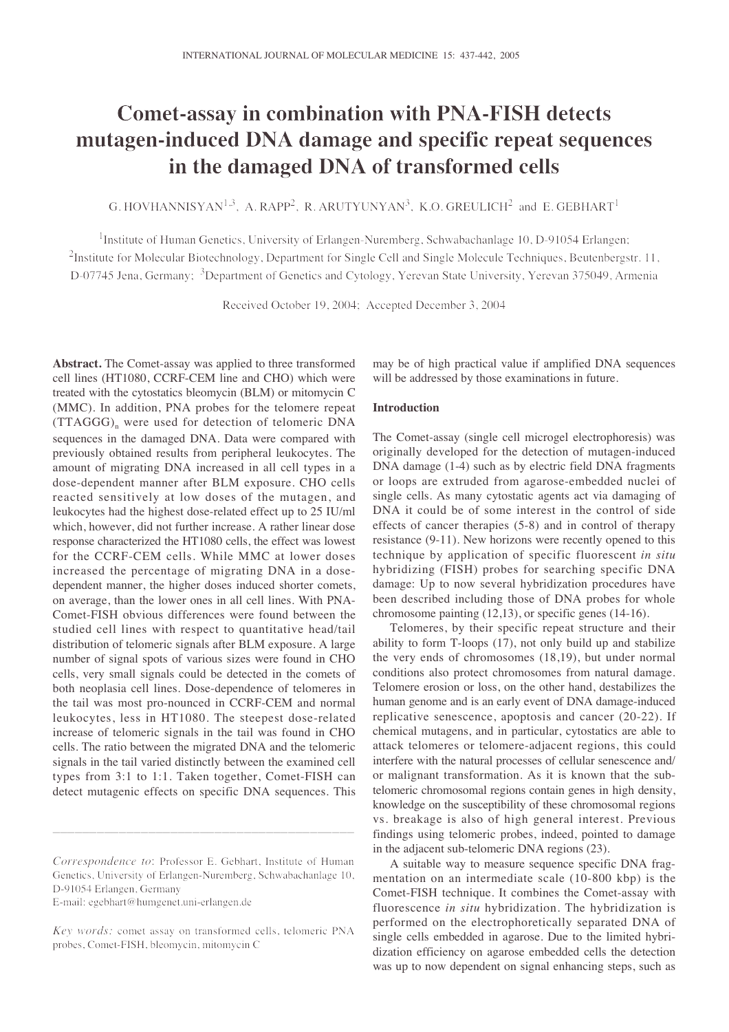# **Comet-assay in combination with PNA-FISH detects mutagen-induced DNA damage and specific repeat sequences in the damaged DNA of transformed cells**

G. HOVHANNISYAN<sup>1,3</sup>, A. RAPP<sup>2</sup>, R. ARUTYUNYAN<sup>3</sup>, K.O. GREULICH<sup>2</sup> and E. GEBHART<sup>1</sup>

<sup>1</sup>Institute of Human Genetics, University of Erlangen-Nuremberg, Schwabachanlage 10, D-91054 Erlangen; <sup>2</sup>Institute for Molecular Biotechnology, Department for Single Cell and Single Molecule Techniques, Beutenbergstr. 11, D-07745 Jena, Germany; <sup>3</sup>Department of Genetics and Cytology, Yerevan State University, Yerevan 375049, Armenia

Received October 19, 2004; Accepted December 3, 2004

**Abstract.** The Comet-assay was applied to three transformed cell lines (HT1080, CCRF-CEM line and CHO) which were treated with the cytostatics bleomycin (BLM) or mitomycin C (MMC). In addition, PNA probes for the telomere repeat  $(TTAGGG)$ <sub>n</sub> were used for detection of telomeric DNA sequences in the damaged DNA. Data were compared with previously obtained results from peripheral leukocytes. The amount of migrating DNA increased in all cell types in a dose-dependent manner after BLM exposure. CHO cells reacted sensitively at low doses of the mutagen, and leukocytes had the highest dose-related effect up to 25 IU/ml which, however, did not further increase. A rather linear dose response characterized the HT1080 cells, the effect was lowest for the CCRF-CEM cells. While MMC at lower doses increased the percentage of migrating DNA in a dosedependent manner, the higher doses induced shorter comets, on average, than the lower ones in all cell lines. With PNA-Comet-FISH obvious differences were found between the studied cell lines with respect to quantitative head/tail distribution of telomeric signals after BLM exposure. A large number of signal spots of various sizes were found in CHO cells, very small signals could be detected in the comets of both neoplasia cell lines. Dose-dependence of telomeres in the tail was most pro-nounced in CCRF-CEM and normal leukocytes, less in HT1080. The steepest dose-related increase of telomeric signals in the tail was found in CHO cells. The ratio between the migrated DNA and the telomeric signals in the tail varied distinctly between the examined cell types from 3:1 to 1:1. Taken together, Comet-FISH can detect mutagenic effects on specific DNA sequences. This

\_\_\_\_\_\_\_\_\_\_\_\_\_\_\_\_\_\_\_\_\_\_\_\_\_\_\_\_\_\_\_\_\_\_\_\_\_\_\_\_\_

E-mail: egebhart@humgenet.uni-erlangen.de

may be of high practical value if amplified DNA sequences will be addressed by those examinations in future.

## **Introduction**

The Comet-assay (single cell microgel electrophoresis) was originally developed for the detection of mutagen-induced DNA damage (1-4) such as by electric field DNA fragments or loops are extruded from agarose-embedded nuclei of single cells. As many cytostatic agents act via damaging of DNA it could be of some interest in the control of side effects of cancer therapies (5-8) and in control of therapy resistance (9-11). New horizons were recently opened to this technique by application of specific fluorescent *in situ* hybridizing (FISH) probes for searching specific DNA damage: Up to now several hybridization procedures have been described including those of DNA probes for whole chromosome painting (12,13), or specific genes (14-16).

Telomeres, by their specific repeat structure and their ability to form T-loops (17), not only build up and stabilize the very ends of chromosomes (18,19), but under normal conditions also protect chromosomes from natural damage. Telomere erosion or loss, on the other hand, destabilizes the human genome and is an early event of DNA damage-induced replicative senescence, apoptosis and cancer (20-22). If chemical mutagens, and in particular, cytostatics are able to attack telomeres or telomere-adjacent regions, this could interfere with the natural processes of cellular senescence and/ or malignant transformation. As it is known that the subtelomeric chromosomal regions contain genes in high density, knowledge on the susceptibility of these chromosomal regions vs. breakage is also of high general interest. Previous findings using telomeric probes, indeed, pointed to damage in the adjacent sub-telomeric DNA regions (23).

A suitable way to measure sequence specific DNA fragmentation on an intermediate scale (10-800 kbp) is the Comet-FISH technique. It combines the Comet-assay with fluorescence *in situ* hybridization. The hybridization is performed on the electrophoretically separated DNA of single cells embedded in agarose. Due to the limited hybridization efficiency on agarose embedded cells the detection was up to now dependent on signal enhancing steps, such as

*Correspondence to*: Professor E. Gebhart, Institute of Human Genetics, University of Erlangen-Nuremberg, Schwabachanlage 10, D-91054 Erlangen, Germany

*Key words:* comet assay on transformed cells, telomeric PNA probes, Comet-FISH, bleomycin, mitomycin C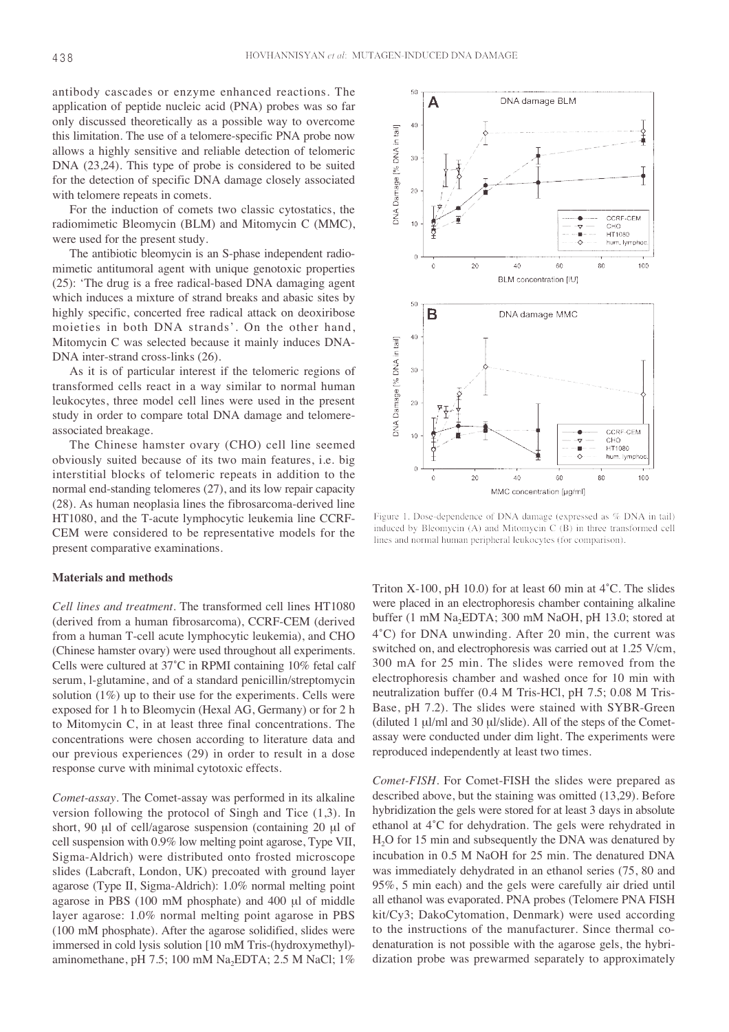antibody cascades or enzyme enhanced reactions. The application of peptide nucleic acid (PNA) probes was so far only discussed theoretically as a possible way to overcome this limitation. The use of a telomere-specific PNA probe now allows a highly sensitive and reliable detection of telomeric DNA (23,24). This type of probe is considered to be suited for the detection of specific DNA damage closely associated with telomere repeats in comets.

For the induction of comets two classic cytostatics, the radiomimetic Bleomycin (BLM) and Mitomycin C (MMC), were used for the present study.

The antibiotic bleomycin is an S-phase independent radiomimetic antitumoral agent with unique genotoxic properties (25): 'The drug is a free radical-based DNA damaging agent which induces a mixture of strand breaks and abasic sites by highly specific, concerted free radical attack on deoxiribose moieties in both DNA strands'. On the other hand, Mitomycin C was selected because it mainly induces DNA-DNA inter-strand cross-links (26).

As it is of particular interest if the telomeric regions of transformed cells react in a way similar to normal human leukocytes, three model cell lines were used in the present study in order to compare total DNA damage and telomereassociated breakage.

The Chinese hamster ovary (CHO) cell line seemed obviously suited because of its two main features, i.e. big interstitial blocks of telomeric repeats in addition to the normal end-standing telomeres (27), and its low repair capacity (28). As human neoplasia lines the fibrosarcoma-derived line HT1080, and the T-acute lymphocytic leukemia line CCRF-CEM were considered to be representative models for the present comparative examinations.

#### **Materials and methods**

*Cell lines and treatment*. The transformed cell lines HT1080 (derived from a human fibrosarcoma), CCRF-CEM (derived from a human T-cell acute lymphocytic leukemia), and CHO (Chinese hamster ovary) were used throughout all experiments. Cells were cultured at 37˚C in RPMI containing 10% fetal calf serum, l-glutamine, and of a standard penicillin/streptomycin solution (1%) up to their use for the experiments. Cells were exposed for 1 h to Bleomycin (Hexal AG, Germany) or for 2 h to Mitomycin C, in at least three final concentrations. The concentrations were chosen according to literature data and our previous experiences (29) in order to result in a dose response curve with minimal cytotoxic effects.

*Comet-assay*. The Comet-assay was performed in its alkaline version following the protocol of Singh and Tice (1,3). In short, 90 µl of cell/agarose suspension (containing 20 µl of cell suspension with 0.9% low melting point agarose, Type VII, Sigma-Aldrich) were distributed onto frosted microscope slides (Labcraft, London, UK) precoated with ground layer agarose (Type II, Sigma-Aldrich): 1.0% normal melting point agarose in PBS (100 mM phosphate) and 400 µl of middle layer agarose: 1.0% normal melting point agarose in PBS (100 mM phosphate). After the agarose solidified, slides were immersed in cold lysis solution [10 mM Tris-(hydroxymethyl) aminomethane, pH 7.5; 100 mM Na<sub>2</sub>EDTA; 2.5 M NaCl; 1%



Figure 1. Dose-dependence of DNA damage (expressed as % DNA in tail) induced by Bleomycin (A) and Mitomycin C (B) in three transformed cell lines and normal human peripheral leukocytes (for comparison).

Triton X-100, pH 10.0) for at least 60 min at 4˚C. The slides were placed in an electrophoresis chamber containing alkaline buffer (1 mM Na<sub>2</sub>EDTA; 300 mM NaOH, pH 13.0; stored at 4˚C) for DNA unwinding. After 20 min, the current was switched on, and electrophoresis was carried out at 1.25 V/cm, 300 mA for 25 min. The slides were removed from the electrophoresis chamber and washed once for 10 min with neutralization buffer (0.4 M Tris-HCl, pH 7.5; 0.08 M Tris-Base, pH 7.2). The slides were stained with SYBR-Green (diluted 1 µl/ml and 30 µl/slide). All of the steps of the Cometassay were conducted under dim light. The experiments were reproduced independently at least two times.

*Comet-FISH*. For Comet-FISH the slides were prepared as described above, but the staining was omitted (13,29). Before hybridization the gels were stored for at least 3 days in absolute ethanol at 4˚C for dehydration. The gels were rehydrated in H2O for 15 min and subsequently the DNA was denatured by incubation in 0.5 M NaOH for 25 min. The denatured DNA was immediately dehydrated in an ethanol series (75, 80 and 95%, 5 min each) and the gels were carefully air dried until all ethanol was evaporated. PNA probes (Telomere PNA FISH kit/Cy3; DakoCytomation, Denmark) were used according to the instructions of the manufacturer. Since thermal codenaturation is not possible with the agarose gels, the hybridization probe was prewarmed separately to approximately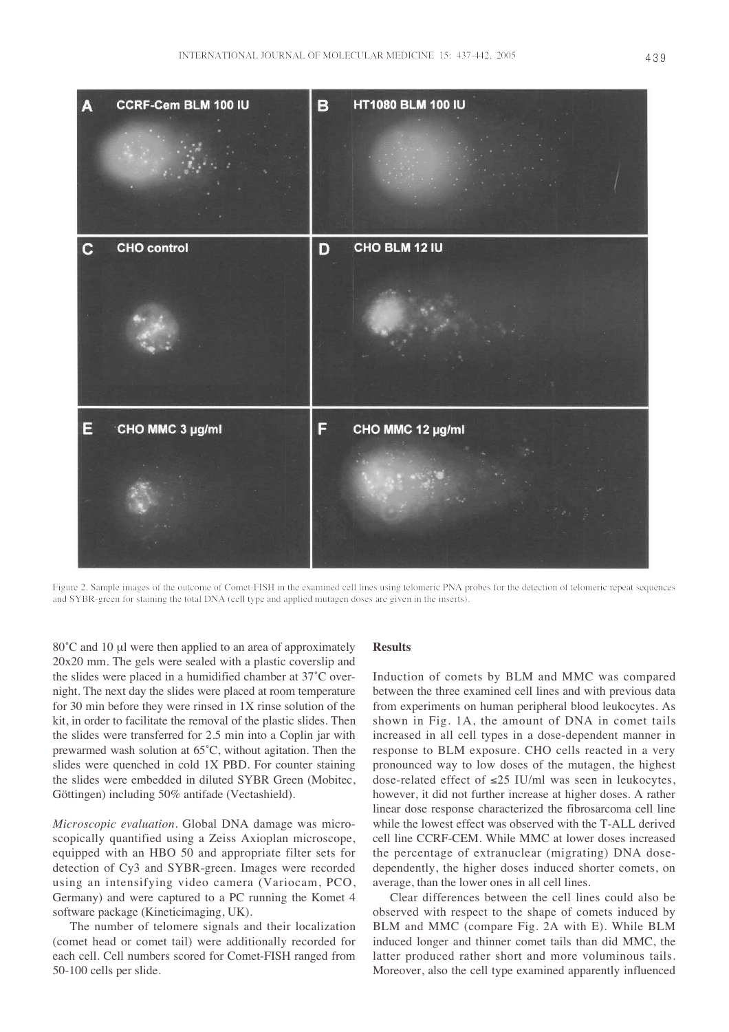

Figure 2. Sample images of the outcome of Comet-FISH in the examined cell lines using telomeric PNA probes for the detection of telomeric repeat sequences and SYBR-green for staining the total DNA (cell type and applied mutagen doses are given in the inserts).

80°C and 10 µl were then applied to an area of approximately 20x20 mm. The gels were sealed with a plastic coverslip and the slides were placed in a humidified chamber at 37˚C overnight. The next day the slides were placed at room temperature for 30 min before they were rinsed in 1X rinse solution of the kit, in order to facilitate the removal of the plastic slides. Then the slides were transferred for 2.5 min into a Coplin jar with prewarmed wash solution at 65˚C, without agitation. Then the slides were quenched in cold 1X PBD. For counter staining the slides were embedded in diluted SYBR Green (Mobitec, Göttingen) including 50% antifade (Vectashield).

*Microscopic evaluation*. Global DNA damage was microscopically quantified using a Zeiss Axioplan microscope, equipped with an HBO 50 and appropriate filter sets for detection of Cy3 and SYBR-green. Images were recorded using an intensifying video camera (Variocam, PCO, Germany) and were captured to a PC running the Komet 4 software package (Kineticimaging, UK).

The number of telomere signals and their localization (comet head or comet tail) were additionally recorded for each cell. Cell numbers scored for Comet-FISH ranged from 50-100 cells per slide.

## **Results**

Induction of comets by BLM and MMC was compared between the three examined cell lines and with previous data from experiments on human peripheral blood leukocytes. As shown in Fig. 1A, the amount of DNA in comet tails increased in all cell types in a dose-dependent manner in response to BLM exposure. CHO cells reacted in a very pronounced way to low doses of the mutagen, the highest dose-related effect of ≤25 IU/ml was seen in leukocytes, however, it did not further increase at higher doses. A rather linear dose response characterized the fibrosarcoma cell line while the lowest effect was observed with the T-ALL derived cell line CCRF-CEM. While MMC at lower doses increased the percentage of extranuclear (migrating) DNA dosedependently, the higher doses induced shorter comets, on average, than the lower ones in all cell lines.

Clear differences between the cell lines could also be observed with respect to the shape of comets induced by BLM and MMC (compare Fig. 2A with E). While BLM induced longer and thinner comet tails than did MMC, the latter produced rather short and more voluminous tails. Moreover, also the cell type examined apparently influenced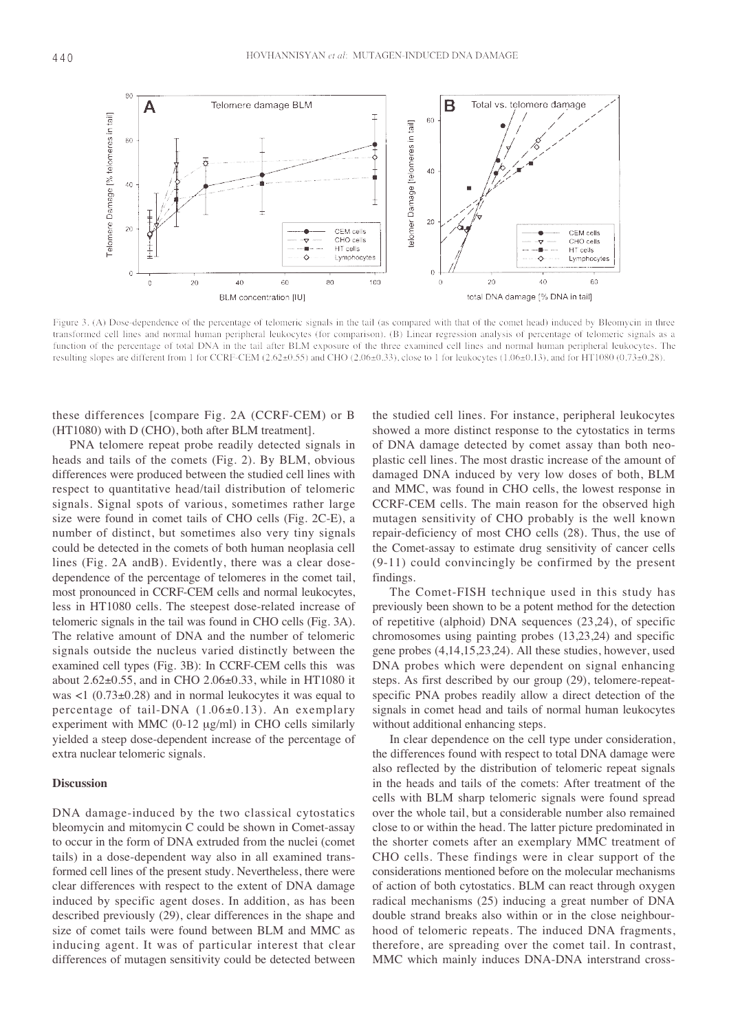

Figure 3. (A) Dose-dependence of the percentage of telomeric signals in the tail (as compared with that of the comet head) induced by Bleomycin in three transformed cell lines and normal human peripheral leukocytes (for comparison). (B) Linear regression analysis of percentage of telomeric signals as a function of the percentage of total DNA in the tail after BLM exposure of the three examined cell lines and normal human peripheral leukocytes. The resulting slopes are different from 1 for CCRF-CEM (2.62±0.55) and CHO (2.06±0.33), close to 1 for leukocytes (1.06±0.13), and for HT1080 (0.73±0.28).

these differences [compare Fig. 2A (CCRF-CEM) or B (HT1080) with D (CHO), both after BLM treatment].

PNA telomere repeat probe readily detected signals in heads and tails of the comets (Fig. 2). By BLM, obvious differences were produced between the studied cell lines with respect to quantitative head/tail distribution of telomeric signals. Signal spots of various, sometimes rather large size were found in comet tails of CHO cells (Fig. 2C-E), a number of distinct, but sometimes also very tiny signals could be detected in the comets of both human neoplasia cell lines (Fig. 2A andB). Evidently, there was a clear dosedependence of the percentage of telomeres in the comet tail, most pronounced in CCRF-CEM cells and normal leukocytes, less in HT1080 cells. The steepest dose-related increase of telomeric signals in the tail was found in CHO cells (Fig. 3A). The relative amount of DNA and the number of telomeric signals outside the nucleus varied distinctly between the examined cell types (Fig. 3B): In CCRF-CEM cells this was about 2.62±0.55, and in CHO 2.06±0.33, while in HT1080 it was <1 (0.73±0.28) and in normal leukocytes it was equal to percentage of tail-DNA (1.06±0.13). An exemplary experiment with MMC  $(0-12 \text{ µg/ml})$  in CHO cells similarly yielded a steep dose-dependent increase of the percentage of extra nuclear telomeric signals.

### **Discussion**

DNA damage-induced by the two classical cytostatics bleomycin and mitomycin C could be shown in Comet-assay to occur in the form of DNA extruded from the nuclei (comet tails) in a dose-dependent way also in all examined transformed cell lines of the present study. Nevertheless, there were clear differences with respect to the extent of DNA damage induced by specific agent doses. In addition, as has been described previously (29), clear differences in the shape and size of comet tails were found between BLM and MMC as inducing agent. It was of particular interest that clear differences of mutagen sensitivity could be detected between

the studied cell lines. For instance, peripheral leukocytes showed a more distinct response to the cytostatics in terms of DNA damage detected by comet assay than both neoplastic cell lines. The most drastic increase of the amount of damaged DNA induced by very low doses of both, BLM and MMC, was found in CHO cells, the lowest response in CCRF-CEM cells. The main reason for the observed high mutagen sensitivity of CHO probably is the well known repair-deficiency of most CHO cells (28). Thus, the use of the Comet-assay to estimate drug sensitivity of cancer cells (9-11) could convincingly be confirmed by the present findings.

The Comet-FISH technique used in this study has previously been shown to be a potent method for the detection of repetitive (alphoid) DNA sequences (23,24), of specific chromosomes using painting probes (13,23,24) and specific gene probes (4,14,15,23,24). All these studies, however, used DNA probes which were dependent on signal enhancing steps. As first described by our group (29), telomere-repeatspecific PNA probes readily allow a direct detection of the signals in comet head and tails of normal human leukocytes without additional enhancing steps.

In clear dependence on the cell type under consideration, the differences found with respect to total DNA damage were also reflected by the distribution of telomeric repeat signals in the heads and tails of the comets: After treatment of the cells with BLM sharp telomeric signals were found spread over the whole tail, but a considerable number also remained close to or within the head. The latter picture predominated in the shorter comets after an exemplary MMC treatment of CHO cells. These findings were in clear support of the considerations mentioned before on the molecular mechanisms of action of both cytostatics. BLM can react through oxygen radical mechanisms (25) inducing a great number of DNA double strand breaks also within or in the close neighbourhood of telomeric repeats. The induced DNA fragments, therefore, are spreading over the comet tail. In contrast, MMC which mainly induces DNA-DNA interstrand cross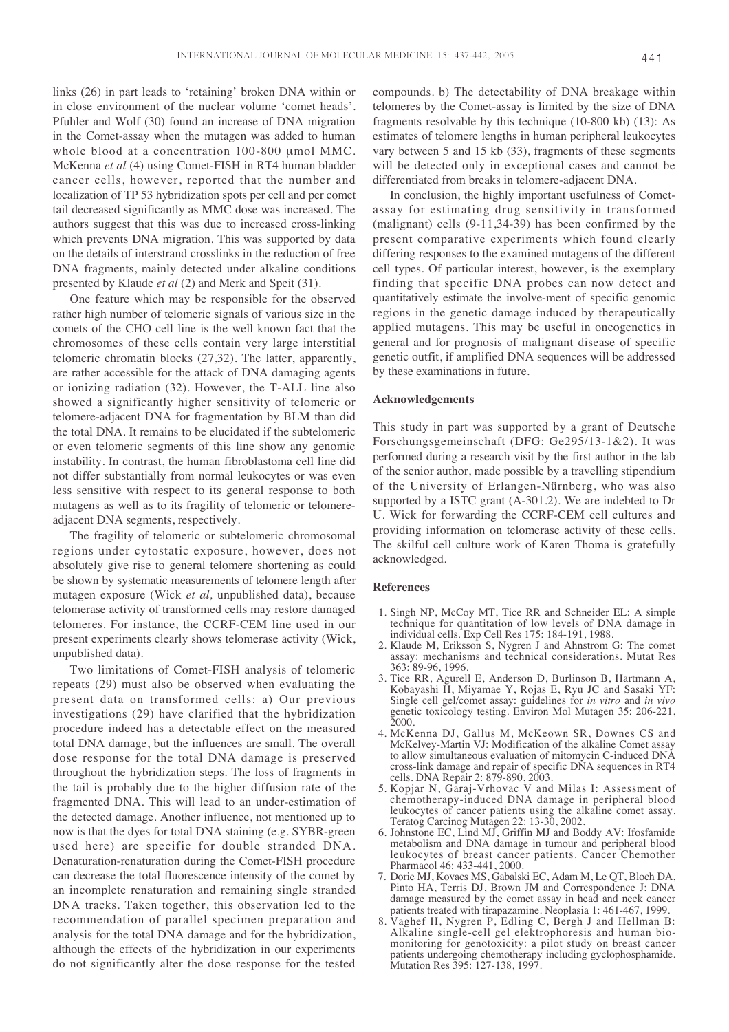links (26) in part leads to 'retaining' broken DNA within or in close environment of the nuclear volume 'comet heads'. Pfuhler and Wolf (30) found an increase of DNA migration in the Comet-assay when the mutagen was added to human whole blood at a concentration 100-800 µmol MMC. McKenna *et al* (4) using Comet-FISH in RT4 human bladder cancer cells, however, reported that the number and localization of TP 53 hybridization spots per cell and per comet tail decreased significantly as MMC dose was increased. The authors suggest that this was due to increased cross-linking which prevents DNA migration. This was supported by data on the details of interstrand crosslinks in the reduction of free DNA fragments, mainly detected under alkaline conditions presented by Klaude *et al* (2) and Merk and Speit (31).

One feature which may be responsible for the observed rather high number of telomeric signals of various size in the comets of the CHO cell line is the well known fact that the chromosomes of these cells contain very large interstitial telomeric chromatin blocks (27,32). The latter, apparently, are rather accessible for the attack of DNA damaging agents or ionizing radiation (32). However, the T-ALL line also showed a significantly higher sensitivity of telomeric or telomere-adjacent DNA for fragmentation by BLM than did the total DNA. It remains to be elucidated if the subtelomeric or even telomeric segments of this line show any genomic instability. In contrast, the human fibroblastoma cell line did not differ substantially from normal leukocytes or was even less sensitive with respect to its general response to both mutagens as well as to its fragility of telomeric or telomereadjacent DNA segments, respectively.

The fragility of telomeric or subtelomeric chromosomal regions under cytostatic exposure, however, does not absolutely give rise to general telomere shortening as could be shown by systematic measurements of telomere length after mutagen exposure (Wick *et al,* unpublished data), because telomerase activity of transformed cells may restore damaged telomeres. For instance, the CCRF-CEM line used in our present experiments clearly shows telomerase activity (Wick, unpublished data).

Two limitations of Comet-FISH analysis of telomeric repeats (29) must also be observed when evaluating the present data on transformed cells: a) Our previous investigations (29) have clarified that the hybridization procedure indeed has a detectable effect on the measured total DNA damage, but the influences are small. The overall dose response for the total DNA damage is preserved throughout the hybridization steps. The loss of fragments in the tail is probably due to the higher diffusion rate of the fragmented DNA. This will lead to an under-estimation of the detected damage. Another influence, not mentioned up to now is that the dyes for total DNA staining (e.g. SYBR-green used here) are specific for double stranded DNA. Denaturation-renaturation during the Comet-FISH procedure can decrease the total fluorescence intensity of the comet by an incomplete renaturation and remaining single stranded DNA tracks. Taken together, this observation led to the recommendation of parallel specimen preparation and analysis for the total DNA damage and for the hybridization, although the effects of the hybridization in our experiments do not significantly alter the dose response for the tested compounds. b) The detectability of DNA breakage within telomeres by the Comet-assay is limited by the size of DNA fragments resolvable by this technique (10-800 kb) (13): As estimates of telomere lengths in human peripheral leukocytes vary between 5 and 15 kb (33), fragments of these segments will be detected only in exceptional cases and cannot be differentiated from breaks in telomere-adjacent DNA.

In conclusion, the highly important usefulness of Cometassay for estimating drug sensitivity in transformed (malignant) cells (9-11,34-39) has been confirmed by the present comparative experiments which found clearly differing responses to the examined mutagens of the different cell types. Of particular interest, however, is the exemplary finding that specific DNA probes can now detect and quantitatively estimate the involve-ment of specific genomic regions in the genetic damage induced by therapeutically applied mutagens. This may be useful in oncogenetics in general and for prognosis of malignant disease of specific genetic outfit, if amplified DNA sequences will be addressed by these examinations in future.

## **Acknowledgements**

This study in part was supported by a grant of Deutsche Forschungsgemeinschaft (DFG: Ge295/13-1&2). It was performed during a research visit by the first author in the lab of the senior author, made possible by a travelling stipendium of the University of Erlangen-Nürnberg, who was also supported by a ISTC grant (A-301.2). We are indebted to Dr U. Wick for forwarding the CCRF-CEM cell cultures and providing information on telomerase activity of these cells. The skilful cell culture work of Karen Thoma is gratefully acknowledged.

#### **References**

- 1. Singh NP, McCoy MT, Tice RR and Schneider EL: A simple technique for quantitation of low levels of DNA damage in individual cells. Exp Cell Res 175: 184-191, 1988.
- 2. Klaude M, Eriksson S, Nygren J and Ahnstrom G: The comet assay: mechanisms and technical considerations. Mutat Res 363: 89-96, 1996.
- 3. Tice RR, Agurell E, Anderson D, Burlinson B, Hartmann A, Kobayashi H, Miyamae Y, Rojas E, Ryu JC and Sasaki YF: Single cell gel/comet assay: guidelines for *in vitro* and *in vivo* genetic toxicology testing. Environ Mol Mutagen 35: 206-221, 2000.
- 4. McKenna DJ, Gallus M, McKeown SR, Downes CS and McKelvey-Martin VJ: Modification of the alkaline Comet assay to allow simultaneous evaluation of mitomycin C-induced DNA cross-link damage and repair of specific DNA sequences in RT4 cells. DNA Repair 2: 879-890, 2003.
- 5. Kopjar N, Garaj-Vrhovac V and Milas I: Assessment of chemotherapy-induced DNA damage in peripheral blood leukocytes of cancer patients using the alkaline comet assay. Teratog Carcinog Mutagen 22: 13-30, 2002.
- 6. Johnstone EC, Lind MJ, Griffin MJ and Boddy AV: Ifosfamide metabolism and DNA damage in tumour and peripheral blood leukocytes of breast cancer patients. Cancer Chemother Pharmacol 46: 433-441, 2000.
- 7. Dorie MJ, Kovacs MS, Gabalski EC, Adam M, Le QT, Bloch DA, Pinto HA, Terris DJ, Brown JM and Correspondence J: DNA damage measured by the comet assay in head and neck cancer patients treated with tirapazamine. Neoplasia 1: 461-467, 1999.
- 8. Vaghef H, Nygren P, Edling C, Bergh J and Hellman B: Alkaline single-cell gel elektrophoresis and human biomonitoring for genotoxicity: a pilot study on breast cancer patients undergoing chemotherapy including gyclophosphamide. Mutation Res 395: 127-138, 1997.